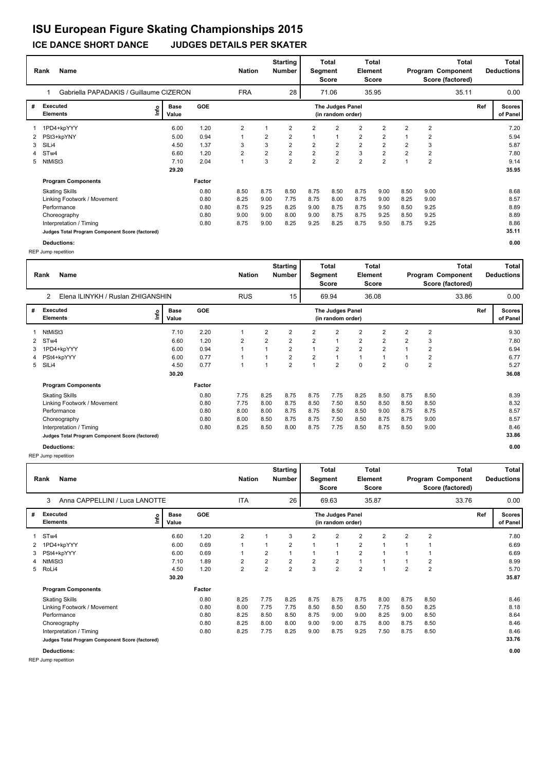#### **Rank Name Total Nation** Number | Segment Element Program Component Deductions **Total Segment Score Total Element Score Total Score (factored) Starting Number** Gabriella PAPADAKIS / Guillaume CIZERON FRA 28 71.06 35.95 **# Executed Elements Base Value GOE Scores The Judges Panel of Panel** 1 1PD4+kpYYY 6.00 1.20 2 1 2 2 2 2 2 2 2 **Ref**  7.20 1 **(in random order)** 35.11 1PD4+kpYYY **Info** 28 | 71.06 35.95 35.11 0.00 2 PSt3+kpYNY 5.00 0.94 1 2 2 1 1 2 2 1 2 5.94 3 SlLi4 4.50 1.37 3 3 2 2 2 2 2 2 3 5.87 4 STw4 6.60 1.20 2 2 2 2 2 3 2 2 2 7.80 5 NtMiSt3 7.10 2.04 1 3 2 2 2 2 2 1 2 9.14  **29.20 Program Components**  Skating Skills 8.50 8.75 8.50 8.75 8.50 8.75 9.00 8.50 9.00 **Factor** 0.80 8.50 8.75 8.50 8.75 8.50 8.75 9.00 8.50 9.00 8.68  **35.95** Linking Footwork / Movement 0.80 8.25 9.00 7.75 8.75 8.00 8.75 9.00 8.25 9.00 8.57 Performance 0.80 8.75 9.25 8.25 9.00 8.75 8.75 9.50 8.50 9.25 8.89 Choreography 0.80 9.00 9.00 8.00 9.00 8.75 8.75 9.25 8.50 9.25 8.89 Interpretation / Timing 10.80 8.75 9.00 8.25 9.25 8.25 8.75 9.50 8.75 9.25 8.75 9.25 8.86<br>
Judges Total Program Component Score (factored) 35.11 **Judges Total Program Component Score (factored)**

REP Jump repetition

|   | <b>Name</b><br>Rank                             |                      |            | <b>Nation</b>  |                | <b>Starting</b><br>Number | Segment        | Total<br><b>Score</b>                 | <b>Element</b> | Total<br><b>Score</b> |      |                | <b>Total</b><br>Program Component<br>Score (factored) |     | Total<br><b>Deductions</b> |
|---|-------------------------------------------------|----------------------|------------|----------------|----------------|---------------------------|----------------|---------------------------------------|----------------|-----------------------|------|----------------|-------------------------------------------------------|-----|----------------------------|
|   | Anna CAPPELLINI / Luca LANOTTE<br>3             |                      |            | <b>ITA</b>     |                | 26                        |                | 69.63                                 |                | 35.87                 |      |                | 33.76                                                 |     | 0.00                       |
| # | <b>Executed</b><br>١m<br><b>Elements</b>        | <b>Base</b><br>Value | <b>GOE</b> |                |                |                           |                | The Judges Panel<br>(in random order) |                |                       |      |                |                                                       | Ref | <b>Scores</b><br>of Panel  |
| 1 | STw4                                            | 6.60                 | 1.20       | $\overline{2}$ |                | 3                         | 2              | $\overline{2}$                        | $\overline{2}$ | $\overline{2}$        | 2    | $\overline{2}$ |                                                       |     | 7.80                       |
|   | 1PD4+kpYYY                                      | 6.00                 | 0.69       | 1              |                | $\overline{2}$            | 1              | 1                                     | $\overline{2}$ | 1                     |      |                |                                                       |     | 6.69                       |
| 3 | PSt4+kpYYY                                      | 6.00                 | 0.69       | 1              | $\overline{2}$ | 1                         | 1              | 1                                     | $\overline{2}$ |                       |      |                |                                                       |     | 6.69                       |
| 4 | NtMiSt3                                         | 7.10                 | 1.89       | 2              | $\overline{2}$ | $\overline{2}$            | $\overline{2}$ | $\overline{\mathbf{c}}$               | $\mathbf{1}$   | 1                     |      | 2              |                                                       |     | 8.99                       |
| 5 | RoLi4                                           | 4.50                 | 1.20       | 2              | $\overline{2}$ | $\overline{\mathbf{c}}$   | 3              | $\overline{\mathbf{c}}$               | $\overline{2}$ | $\overline{1}$        | 2    | $\overline{2}$ |                                                       |     | 5.70                       |
|   |                                                 | 30.20                |            |                |                |                           |                |                                       |                |                       |      |                |                                                       |     | 35.87                      |
|   | <b>Program Components</b>                       |                      | Factor     |                |                |                           |                |                                       |                |                       |      |                |                                                       |     |                            |
|   | <b>Skating Skills</b>                           |                      | 0.80       | 8.25           | 7.75           | 8.25                      | 8.75           | 8.75                                  | 8.75           | 8.00                  | 8.75 | 8.50           |                                                       |     | 8.46                       |
|   | Linking Footwork / Movement                     |                      | 0.80       | 8.00           | 7.75           | 7.75                      | 8.50           | 8.50                                  | 8.50           | 7.75                  | 8.50 | 8.25           |                                                       |     | 8.18                       |
|   | Performance                                     |                      | 0.80       | 8.25           | 8.50           | 8.50                      | 8.75           | 9.00                                  | 9.00           | 8.25                  | 9.00 | 8.50           |                                                       |     | 8.64                       |
|   | Choreography                                    |                      | 0.80       | 8.25           | 8.00           | 8.00                      | 9.00           | 9.00                                  | 8.75           | 8.00                  | 8.75 | 8.50           |                                                       |     | 8.46                       |
|   | Interpretation / Timing                         |                      | 0.80       | 8.25           | 7.75           | 8.25                      | 9.00           | 8.75                                  | 9.25           | 7.50                  | 8.75 | 8.50           |                                                       |     | 8.46                       |
|   | Judges Total Program Component Score (factored) |                      |            |                |                |                           |                |                                       |                |                       |      |                |                                                       |     | 33.76                      |
|   | <b>Deductions:</b>                              |                      |            |                |                |                           |                |                                       |                |                       |      |                |                                                       |     | 0.00                       |

**Deductions: 0.00** REP Jump repetition

**Rank Name Total Nation Deductions Program Component Total Segment Score Total Element Score Total Score (factored) Starting Number** Elena ILINYKH / Ruslan ZHIGANSHIN RUS RUS 15 69.94 36.08 **# Executed Elements Base Value GOE Scores The Judges Panel of Panel** 1 7.10 2.20 1 2 2 2 2 2 2 2 2 **Ref**  9.30 2 **(in random order)** 33.86 1 NtMiSt3 **Info** 15 69.94 36.08 33.86 0.00 2 STw4 6.60 1.20 2 2 2 2 1 2 2 2 3 7.80 3 1PD4+kpYYY 6.00 0.94 1 1 2 1 2 2 2 1 2 6.94 4 PSt4+kpYYY 6.00 0.77 1 1 2 2 1 1 1 1 2 6.77 5 SlLi4 4.50 0.77 1 1 2 1 2 0 2 0 2 5.27  **30.20 Program Components**  Skating Skills 7.75 8.25 8.75 8.75 7.75 8.25 8.50 8.75 8.50 **Factor** 0.80 7.75 8.25 8.75 8.75 7.75 8.25 8.50 8.75 8.50 8.39  **36.08** Linking Footwork / Movement 0.80 7.75 8.00 8.75 8.50 7.50 8.50 8.50 8.50 8.50 8.32 Performance 0.80 8.00 8.00 8.75 8.75 8.50 8.50 9.00 8.75 8.75 8.57 Choreography 0.80 8.00 8.50 8.75 8.75 7.50 8.50 8.75 8.75 9.00 8.57 Interpretation / Timing 0.80 8.25 8.50 8.00 8.75 7.75 8.50 8.75 8.50 9.00 8.46 **Judges Total Program Component Score (factored) 33.86 Deductions: 0.00**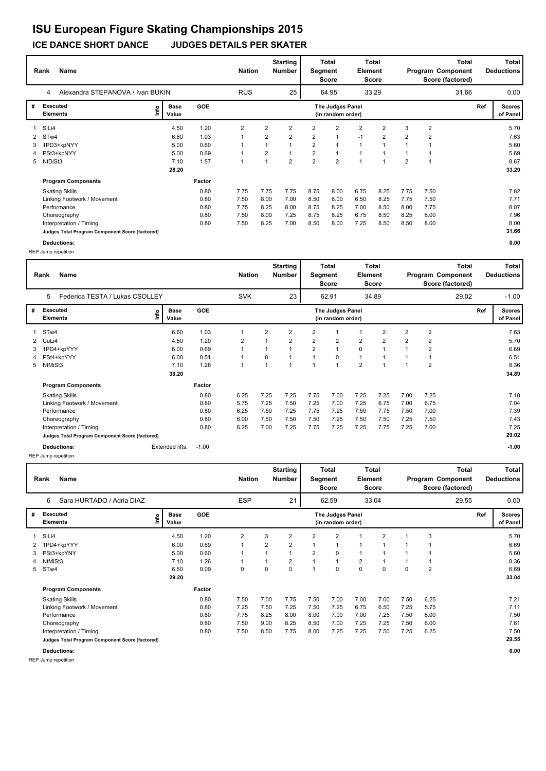#### **ICE DANCE SHORT DANCE JUDGES DETAILS PER SKATER**

|   | Name<br>Rank                                    | Alexandra STEPANOVA / Ivan BUKIN |        |            |            |                | <b>Starting</b><br>Number | Segment        | <b>Total</b><br>Score                 | Element        | Total<br>Score |                |                | <b>Total</b><br>Program Component<br>Score (factored) |     | Total<br><b>Deductions</b> |
|---|-------------------------------------------------|----------------------------------|--------|------------|------------|----------------|---------------------------|----------------|---------------------------------------|----------------|----------------|----------------|----------------|-------------------------------------------------------|-----|----------------------------|
|   | 4                                               |                                  |        |            | <b>RUS</b> |                | 25                        |                | 64.95                                 |                | 33.29          |                |                | 31.66                                                 |     | 0.00                       |
| # | <b>Executed</b><br><b>Elements</b>              | ١nf٥<br>Value                    | Base   | <b>GOE</b> |            |                |                           |                | The Judges Panel<br>(in random order) |                |                |                |                |                                                       | Ref | <b>Scores</b><br>of Panel  |
|   | SILi4                                           |                                  | 4.50   | 1.20       | 2          | $\overline{2}$ | $\overline{2}$            | $\overline{2}$ | $\overline{2}$                        | $\overline{2}$ | $\overline{2}$ | 3              | $\overline{2}$ |                                                       |     | 5.70                       |
|   | 2 STw4                                          |                                  | 6.60   | 1.03       |            | 2              | $\overline{2}$            | $\overline{2}$ | $\overline{1}$                        | $-1$           | $\overline{2}$ | $\overline{2}$ | $\overline{2}$ |                                                       |     | 7.63                       |
| 3 | 1PD3+kpNYY                                      |                                  | 5.00   | 0.60       |            |                | -1                        | $\overline{2}$ |                                       | 1              | $\overline{1}$ |                |                |                                                       |     | 5.60                       |
| 4 | PSt3+kpNYY                                      |                                  | 5.00   | 0.69       |            | $\overline{2}$ | -1                        | $\overline{2}$ |                                       |                | 1              |                |                |                                                       |     | 5.69                       |
| 5 | NtDiSt3                                         |                                  | 7.10   | 1.57       |            |                | $\overline{2}$            | $\overline{2}$ | $\overline{2}$                        | и              | $\overline{ }$ | $\overline{2}$ |                |                                                       |     | 8.67                       |
|   |                                                 |                                  | 28.20  |            |            |                |                           |                |                                       |                |                |                |                |                                                       |     | 33.29                      |
|   | <b>Program Components</b>                       |                                  | Factor |            |            |                |                           |                |                                       |                |                |                |                |                                                       |     |                            |
|   | <b>Skating Skills</b>                           |                                  |        | 0.80       | 7.75       | 7.75           | 7.75                      | 8.75           | 8.00                                  | 6.75           | 8.25           | 7.75           | 7.50           |                                                       |     | 7.82                       |
|   | Linking Footwork / Movement                     |                                  |        | 0.80       | 7.50       | 8.00           | 7.00                      | 8.50           | 8.00                                  | 6.50           | 8.25           | 7.75           | 7.50           |                                                       |     | 7.71                       |
|   | Performance                                     |                                  |        | 0.80       | 7.75       | 8.25           | 8.00                      | 8.75           | 8.25                                  | 7.00           | 8.50           | 8.00           | 7.75           |                                                       |     | 8.07                       |
|   | Choreography                                    |                                  |        | 0.80       | 7.50       | 8.00           | 7.25                      | 8.75           | 8.25                                  | 6.75           | 8.50           | 8.25           | 8.00           |                                                       |     | 7.96                       |
|   | Interpretation / Timing                         |                                  |        | 0.80       | 7.50       | 8.25           | 7.00                      | 8.50           | 8.00                                  | 7.25           | 8.50           | 8.50           | 8.00           |                                                       |     | 8.00                       |
|   | Judges Total Program Component Score (factored) |                                  |        |            |            |                |                           |                |                                       |                |                |                |                |                                                       |     | 31.66                      |

**Deductions: 0.00** REP Jump repetition

REP Jump repetition

|              | <b>Name</b><br>Rank                             |                            |            | <b>Nation</b> |                | <b>Starting</b><br><b>Number</b> | Segment | Total<br><b>Score</b>                 | Element        | <b>Total</b><br><b>Score</b> |      |                | Total<br>Program Component<br>Score (factored) |     | <b>Total</b><br><b>Deductions</b> |
|--------------|-------------------------------------------------|----------------------------|------------|---------------|----------------|----------------------------------|---------|---------------------------------------|----------------|------------------------------|------|----------------|------------------------------------------------|-----|-----------------------------------|
|              | Sara HURTADO / Adria DIAZ<br>6                  |                            |            | <b>ESP</b>    |                | 21                               |         | 62.59                                 |                | 33.04                        |      |                | 29.55                                          |     | 0.00                              |
| #            | <b>Executed</b><br><b>Elements</b>              | <b>Base</b><br>١m<br>Value | <b>GOE</b> |               |                |                                  |         | The Judges Panel<br>(in random order) |                |                              |      |                |                                                | Ref | <b>Scores</b><br>of Panel         |
|              | SILi4                                           | 4.50                       | 1.20       | 2             | 3              | 2                                | 2       | $\overline{2}$                        |                | $\overline{2}$               |      | 3              |                                                |     | 5.70                              |
| $\mathbf{2}$ | 1PD4+kpYYY                                      | 6.00                       | 0.69       |               | $\overline{2}$ | 2                                |         | $\overline{1}$                        |                |                              |      |                |                                                |     | 6.69                              |
| 3            | PSt3+kpYNY                                      | 5.00                       | 0.60       |               |                |                                  | 2       | 0                                     |                |                              |      |                |                                                |     | 5.60                              |
|              | NtMiSt3                                         | 7.10                       | 1.26       |               |                | $\overline{2}$                   |         | $\mathbf{1}$                          | $\overline{2}$ |                              |      |                |                                                |     | 8.36                              |
| 5            | STw4                                            | 6.60                       | 0.09       | 0             | 0              | 0                                |         | 0                                     | $\mathbf 0$    | 0                            | 0    | $\overline{2}$ |                                                |     | 6.69                              |
|              |                                                 | 29.20                      |            |               |                |                                  |         |                                       |                |                              |      |                |                                                |     | 33.04                             |
|              | <b>Program Components</b>                       |                            | Factor     |               |                |                                  |         |                                       |                |                              |      |                |                                                |     |                                   |
|              | <b>Skating Skills</b>                           |                            | 0.80       | 7.50          | 7.00           | 7.75                             | 7.50    | 7.00                                  | 7.00           | 7.00                         | 7.50 | 6.25           |                                                |     | 7.21                              |
|              | Linking Footwork / Movement                     |                            | 0.80       | 7.25          | 7.50           | 7.25                             | 7.50    | 7.25                                  | 6.75           | 6.50                         | 7.25 | 5.75           |                                                |     | 7.11                              |
|              | Performance                                     |                            | 0.80       | 7.75          | 8.25           | 8.00                             | 8.00    | 7.00                                  | 7.00           | 7.25                         | 7.50 | 6.00           |                                                |     | 7.50                              |
|              | Choreography                                    |                            | 0.80       | 7.50          | 9.00           | 8.25                             | 8.50    | 7.00                                  | 7.25           | 7.25                         | 7.50 | 6.00           |                                                |     | 7.61                              |
|              | Interpretation / Timing                         |                            | 0.80       | 7.50          | 8.50           | 7.75                             | 8.00    | 7.25                                  | 7.25           | 7.50                         | 7.25 | 6.25           |                                                |     | 7.50                              |
|              | Judges Total Program Component Score (factored) |                            |            |               |                |                                  |         |                                       |                |                              |      |                |                                                |     | 29.55                             |
|              | Deductions:                                     |                            |            |               |                |                                  |         |                                       |                |                              |      |                |                                                |     | 0.00                              |

**Rank Name Total Nation Deductions Program Component Total Segment Score Total Element Score Total Score (factored) Starting Number** Federica TESTA / Lukas CSOLLEY SVK 23 62.91 34.89 **# Executed Elements Base Value GOE Scores The Judges Panel of Panel** 1 6.60 1.03 1 2 2 2 1 1 2 2 2 **Ref**  7.63 5 **(in random order)** 29.02 STw4 **Info** 23 62.91 34.89 29.02 -1.00 2 CuLi4 4.50 1.20 2 1 2 2 2 2 2 2 2 5.70 3 1PD4+kpYYY 6.00 0.69 1 1 1 2 1 0 1 1 2 6.69 4 PSt4+kpYYY 6.00 0.51 1 0 1 1 0 1 1 1 1 6.51 5 NtMiSt3 7.10 1.26 1 1 1 1 1 2 1 1 2 8.36  **30.20 Program Components**  Skating Skills 6.25 7.25 7.25 7.75 7.00 7.25 7.25 7.00 7.25 **Factor** 0.80 6.25 7.25 7.25 7.75 7.00 7.25 7.25 7.00 7.25 7.18  **34.89** Linking Footwork / Movement 10.80 5.75 7.25 7.50 7.25 7.00 7.25 7.00 6.75 7.04 7.04<br>Performance 10.80 6.25 7.50 7.25 7.75 7.25 7.50 7.75 7.50 7.04 7.39 Performance 0.80 6.25 7.50 7.25 7.75 7.25 7.50 7.75 7.50 7.00 7.39 Choreography 0.80 6.00 7.50 7.50 7.50 7.25 7.50 7.50 7.25 7.50 7.43 Interpretation / Timing  $0.80$   $0.80$   $0.25$   $7.00$   $7.25$   $7.75$   $7.25$   $7.25$   $7.75$   $7.25$   $7.25$   $7.00$   $7.25$ **Judges Total Program Component Score (factored) 29.02 Deductions: Extended lifts: -1.00 -1.00 -1.00 -1.00 -1.00**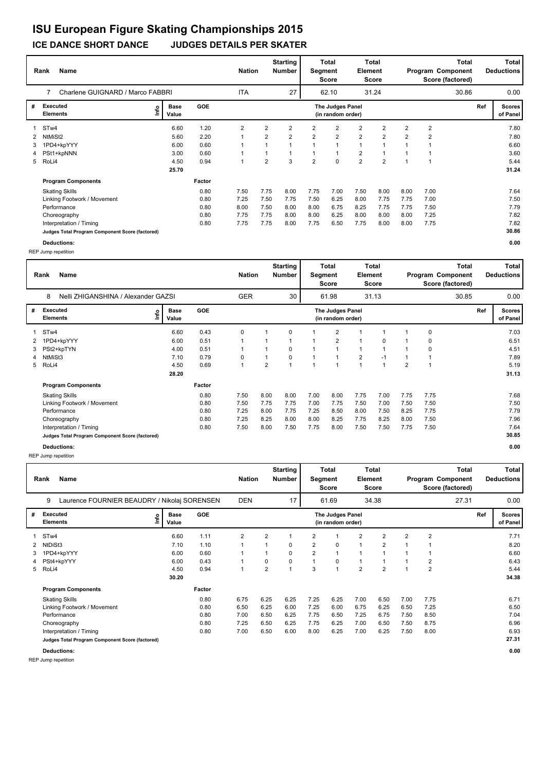#### **ICE DANCE SHORT DANCE JUDGES DETAILS PER SKATER**

|   | Name<br>Rank                                    | 7<br>Charlene GUIGNARD / Marco FABBRI |               |        |            | <b>Nation</b>  | <b>Starting</b><br>Number |                | <b>Total</b><br>Segment<br><b>Score</b> | Element        | <b>Total</b><br><b>Score</b> |                |                | <b>Total</b><br>Program Component<br>Score (factored) |     | Total<br><b>Deductions</b> |
|---|-------------------------------------------------|---------------------------------------|---------------|--------|------------|----------------|---------------------------|----------------|-----------------------------------------|----------------|------------------------------|----------------|----------------|-------------------------------------------------------|-----|----------------------------|
|   |                                                 |                                       |               |        | <b>ITA</b> |                | 27                        |                | 62.10                                   |                | 31.24                        |                |                | 30.86                                                 |     | 0.00                       |
| # | <b>Executed</b><br><b>Elements</b>              | ١nf٥                                  | Base<br>Value | GOE    |            |                |                           |                | The Judges Panel<br>(in random order)   |                |                              |                |                |                                                       | Ref | <b>Scores</b><br>of Panel  |
|   | ST <sub>w</sub> 4                               |                                       | 6.60          | 1.20   | 2          | 2              | $\overline{2}$            | $\overline{2}$ | $\overline{2}$                          | $\overline{2}$ | 2                            | $\overline{2}$ | $\overline{2}$ |                                                       |     | 7.80                       |
| 2 | NtMiSt2                                         |                                       | 5.60          | 2.20   |            | $\overline{2}$ | $\overline{2}$            | $\overline{2}$ | $\overline{2}$                          | $\overline{2}$ | $\overline{2}$               | $\overline{2}$ | $\overline{2}$ |                                                       |     | 7.80                       |
| 3 | 1PD4+kpYYY                                      |                                       | 6.00          | 0.60   |            |                |                           |                |                                         | $\overline{1}$ | 1                            |                |                |                                                       |     | 6.60                       |
| 4 | PSt1+kpNNN                                      |                                       | 3.00          | 0.60   |            |                |                           |                |                                         | $\overline{2}$ | $\overline{1}$               |                |                |                                                       |     | 3.60                       |
|   | 5 RoLi4                                         |                                       | 4.50          | 0.94   |            | 2              | 3                         | $\overline{2}$ | $\mathbf 0$                             | $\overline{2}$ | $\overline{2}$               |                |                |                                                       |     | 5.44                       |
|   |                                                 |                                       | 25.70         |        |            |                |                           |                |                                         |                |                              |                |                |                                                       |     | 31.24                      |
|   | <b>Program Components</b>                       |                                       |               | Factor |            |                |                           |                |                                         |                |                              |                |                |                                                       |     |                            |
|   | <b>Skating Skills</b>                           |                                       |               | 0.80   | 7.50       | 7.75           | 8.00                      | 7.75           | 7.00                                    | 7.50           | 8.00                         | 8.00           | 7.00           |                                                       |     | 7.64                       |
|   | Linking Footwork / Movement                     |                                       |               | 0.80   | 7.25       | 7.50           | 7.75                      | 7.50           | 6.25                                    | 8.00           | 7.75                         | 7.75           | 7.00           |                                                       |     | 7.50                       |
|   | Performance                                     |                                       |               | 0.80   | 8.00       | 7.50           | 8.00                      | 8.00           | 6.75                                    | 8.25           | 7.75                         | 7.75           | 7.50           |                                                       |     | 7.79                       |
|   | Choreography                                    |                                       |               | 0.80   | 7.75       | 7.75           | 8.00                      | 8.00           | 6.25                                    | 8.00           | 8.00                         | 8.00           | 7.25           |                                                       |     | 7.82                       |
|   | Interpretation / Timing                         |                                       |               | 0.80   | 7.75       | 7.75           | 8.00                      | 7.75           | 6.50                                    | 7.75           | 8.00                         | 8.00           | 7.75           |                                                       |     | 7.82                       |
|   | Judges Total Program Component Score (factored) |                                       |               |        |            |                |                           |                |                                         |                |                              |                |                |                                                       |     | 30.86                      |

**Deductions: 0.00** REP Jump repetition

REP Jump repetition

|   | <b>Name</b><br>Rank                               |                      |            | <b>Nation</b>  |                | <b>Starting</b><br>Number | Segment | Total<br><b>Score</b>                 | <b>Element</b>          | Total<br><b>Score</b> |      |                | <b>Total</b><br>Program Component<br>Score (factored) |     | Total<br><b>Deductions</b> |
|---|---------------------------------------------------|----------------------|------------|----------------|----------------|---------------------------|---------|---------------------------------------|-------------------------|-----------------------|------|----------------|-------------------------------------------------------|-----|----------------------------|
|   | 9<br>Laurence FOURNIER BEAUDRY / Nikolaj SORENSEN |                      |            | <b>DEN</b>     |                | 17                        |         | 61.69                                 |                         | 34.38                 |      |                | 27.31                                                 |     | 0.00                       |
| # | <b>Executed</b><br>١m<br><b>Elements</b>          | <b>Base</b><br>Value | <b>GOE</b> |                |                |                           |         | The Judges Panel<br>(in random order) |                         |                       |      |                |                                                       | Ref | <b>Scores</b><br>of Panel  |
| 1 | STw4                                              | 6.60                 | 1.11       | $\overline{2}$ | $\overline{2}$ | 1                         | 2       | 1                                     | $\overline{2}$          | $\overline{2}$        | 2    | $\overline{2}$ |                                                       |     | 7.71                       |
| 2 | NtDiSt3                                           | 7.10                 | 1.10       | 1              | 1              | $\Omega$                  | 2       | 0                                     | $\mathbf{1}$            | 2                     |      |                |                                                       |     | 8.20                       |
| 3 | 1PD4+kpYYY                                        | 6.00                 | 0.60       | 1              |                | 0                         | 2       | 1                                     | $\overline{\mathbf{A}}$ |                       |      |                |                                                       |     | 6.60                       |
| 4 | PSt4+kpYYY                                        | 6.00                 | 0.43       | 1              | 0              | 0                         | 1       | 0                                     | 1                       | 1                     |      | 2              |                                                       |     | 6.43                       |
| 5 | RoLi4                                             | 4.50                 | 0.94       | $\mathbf{1}$   | 2              | 1                         | 3       | 1                                     | $\overline{2}$          | $\overline{2}$        |      | 2              |                                                       |     | 5.44                       |
|   |                                                   | 30.20                |            |                |                |                           |         |                                       |                         |                       |      |                |                                                       |     | 34.38                      |
|   | <b>Program Components</b>                         |                      | Factor     |                |                |                           |         |                                       |                         |                       |      |                |                                                       |     |                            |
|   | <b>Skating Skills</b>                             |                      | 0.80       | 6.75           | 6.25           | 6.25                      | 7.25    | 6.25                                  | 7.00                    | 6.50                  | 7.00 | 7.75           |                                                       |     | 6.71                       |
|   | Linking Footwork / Movement                       |                      | 0.80       | 6.50           | 6.25           | 6.00                      | 7.25    | 6.00                                  | 6.75                    | 6.25                  | 6.50 | 7.25           |                                                       |     | 6.50                       |
|   | Performance                                       |                      | 0.80       | 7.00           | 6.50           | 6.25                      | 7.75    | 6.50                                  | 7.25                    | 6.75                  | 7.50 | 8.50           |                                                       |     | 7.04                       |
|   | Choreography                                      |                      | 0.80       | 7.25           | 6.50           | 6.25                      | 7.75    | 6.25                                  | 7.00                    | 6.50                  | 7.50 | 8.75           |                                                       |     | 6.96                       |
|   | Interpretation / Timing                           |                      | 0.80       | 7.00           | 6.50           | 6.00                      | 8.00    | 6.25                                  | 7.00                    | 6.25                  | 7.50 | 8.00           |                                                       |     | 6.93                       |
|   | Judges Total Program Component Score (factored)   |                      |            |                |                |                           |         |                                       |                         |                       |      |                |                                                       |     | 27.31                      |
|   | <b>Deductions:</b>                                |                      |            |                |                |                           |         |                                       |                         |                       |      |                |                                                       |     | 0.00                       |

**Rank Name Total Nation Deductions Program Component Total Segment Score Total Element Score Total Score (factored) Starting Number** Nelli ZHIGANSHINA / Alexander GAZSI GER 30 61.98 31.13 **# Executed Elements Base Value GOE Scores The Judges Panel of Panel** 1 6.60 0.43 0 1 0 1 2 1 1 1 0 **Ref**  7.03 8 **(in random order)** 30.85 STw4 **Info** 30 | 61.98 31.13 30.85 0.00 2 1PD4+kpYYY 6.00 0.51 1 1 1 1 2 1 0 1 0 6.51 3 PSt2+kpTYN 4.00 0.51 1 1 0 1 1 1 1 1 0 4.51 4 NtMiSt3 7.10 0.79 0 1 0 1 1 2 -1 1 1 7.89 5 RoLi4 4.50 0.69 1 2 1 1 1 1 1 2 1 5.19  **28.20 Program Components**  Skating Skills 7.50 8.00 8.00 7.00 8.00 7.75 7.00 7.75 7.75 **Factor** 0.80 7.50 8.00 8.00 7.00 8.00 7.75 7.00 7.75 7.75 7.75 7.68  **31.13** Linking Footwork / Movement 0.80 7.50 7.75 7.75 7.00 7.75 7.50 7.00 7.50 7.50 7.50 Performance 0.80 7.25 8.00 7.75 7.25 8.50 8.00 7.50 8.25 7.75 7.79 Choreography 0.80 7.25 8.25 8.00 8.00 8.25 7.75 8.25 8.00 7.50 7.96 Interpretation / Timing 0.80 7.50 8.00 7.50 7.75 8.00 7.50 7.50 7.75 7.50 7.64 **Judges Total Program Component Score (factored) 30.85 Deductions: 0.00**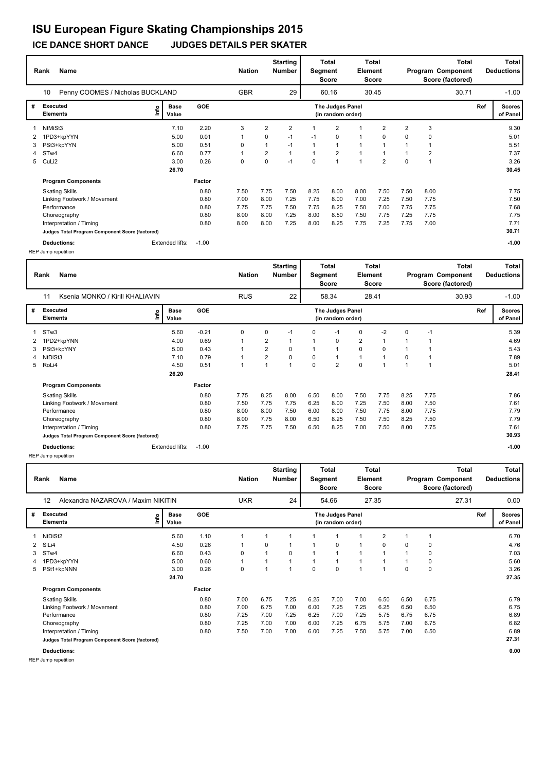|   | <b>Name</b><br>Rank                             |      |                      |            | <b>Nation</b> |                | <b>Starting</b><br><b>Number</b> | Segment  | Total<br><b>Score</b>                 | Element | <b>Total</b><br><b>Score</b> |                |                | <b>Total</b><br>Program Component<br>Score (factored) |     | Total<br><b>Deductions</b> |
|---|-------------------------------------------------|------|----------------------|------------|---------------|----------------|----------------------------------|----------|---------------------------------------|---------|------------------------------|----------------|----------------|-------------------------------------------------------|-----|----------------------------|
|   | 10<br>Penny COOMES / Nicholas BUCKLAND          |      |                      |            | <b>GBR</b>    |                | 29                               |          | 60.16                                 |         | 30.45                        |                |                | 30.71                                                 |     | $-1.00$                    |
| # | <b>Executed</b><br><b>Elements</b>              | ١nf٥ | <b>Base</b><br>Value | <b>GOE</b> |               |                |                                  |          | The Judges Panel<br>(in random order) |         |                              |                |                |                                                       | Ref | <b>Scores</b><br>of Panel  |
|   | NtMiSt3                                         |      | 7.10                 | 2.20       | 3             | 2              | $\overline{2}$                   |          | $\overline{2}$                        |         | $\overline{2}$               | $\overline{2}$ | 3              |                                                       |     | 9.30                       |
|   | 1PD3+kpYYN                                      |      | 5.00                 | 0.01       |               | 0              | $-1$                             | $-1$     | 0                                     | 1       | $\Omega$                     | 0              | 0              |                                                       |     | 5.01                       |
| 3 | PSt3+kpYYN                                      |      | 5.00                 | 0.51       | 0             | $\mathbf{1}$   | $-1$                             |          | 1                                     | 1       |                              |                |                |                                                       |     | 5.51                       |
| 4 | ST <sub>w</sub> 4                               |      | 6.60                 | 0.77       | $\mathbf{1}$  | $\overline{2}$ | $\overline{1}$                   |          | $\overline{2}$                        | 1       |                              |                | $\overline{2}$ |                                                       |     | 7.37                       |
| 5 | CuLi2                                           |      | 3.00                 | 0.26       | 0             | 0              | $-1$                             | $\Omega$ | 1                                     | 1       | $\overline{2}$               | 0              |                |                                                       |     | 3.26                       |
|   |                                                 |      | 26.70                |            |               |                |                                  |          |                                       |         |                              |                |                |                                                       |     | 30.45                      |
|   | <b>Program Components</b>                       |      |                      | Factor     |               |                |                                  |          |                                       |         |                              |                |                |                                                       |     |                            |
|   | <b>Skating Skills</b>                           |      |                      | 0.80       | 7.50          | 7.75           | 7.50                             | 8.25     | 8.00                                  | 8.00    | 7.50                         | 7.50           | 8.00           |                                                       |     | 7.75                       |
|   | Linking Footwork / Movement                     |      |                      | 0.80       | 7.00          | 8.00           | 7.25                             | 7.75     | 8.00                                  | 7.00    | 7.25                         | 7.50           | 7.75           |                                                       |     | 7.50                       |
|   | Performance                                     |      |                      | 0.80       | 7.75          | 7.75           | 7.50                             | 7.75     | 8.25                                  | 7.50    | 7.00                         | 7.75           | 7.75           |                                                       |     | 7.68                       |
|   | Choreography                                    |      |                      | 0.80       | 8.00          | 8.00           | 7.25                             | 8.00     | 8.50                                  | 7.50    | 7.75                         | 7.25           | 7.75           |                                                       |     | 7.75                       |
|   | Interpretation / Timing                         |      |                      | 0.80       | 8.00          | 8.00           | 7.25                             | 8.00     | 8.25                                  | 7.75    | 7.25                         | 7.75           | 7.00           |                                                       |     | 7.71                       |
|   | Judges Total Program Component Score (factored) |      |                      |            |               |                |                                  |          |                                       |         |                              |                |                |                                                       |     | 30.71                      |
|   | <b>Deductions:</b>                              |      | Extended lifts:      | $-1.00$    |               |                |                                  |          |                                       |         |                              |                |                |                                                       |     | $-1.00$                    |

REP Jump repetition

REP Jump repetition

|    | <b>Name</b><br>Rank                             | Alexandra NAZAROVA / Maxim NIKITIN |                      |            |            |              | <b>Starting</b><br><b>Number</b> | Segment  | <b>Total</b><br><b>Score</b>          | <b>Element</b> | Total<br><b>Score</b> |          |             | <b>Total</b><br>Program Component<br>Score (factored) |     | Total<br><b>Deductions</b> |
|----|-------------------------------------------------|------------------------------------|----------------------|------------|------------|--------------|----------------------------------|----------|---------------------------------------|----------------|-----------------------|----------|-------------|-------------------------------------------------------|-----|----------------------------|
|    | 12                                              |                                    |                      |            | <b>UKR</b> |              | 24                               |          | 54.66                                 |                | 27.35                 |          |             | 27.31                                                 |     | 0.00                       |
| #  | Executed<br><b>Elements</b>                     | ١m٥                                | <b>Base</b><br>Value | <b>GOE</b> |            |              |                                  |          | The Judges Panel<br>(in random order) |                |                       |          |             |                                                       | Ref | Scores<br>of Panel         |
|    | NtDiSt2                                         |                                    | 5.60                 | 1.10       |            |              | 1                                |          |                                       |                | $\overline{2}$        |          |             |                                                       |     | 6.70                       |
|    | 2 SILi4                                         |                                    | 4.50                 | 0.26       |            | 0            | 1                                |          | 0                                     | $\overline{1}$ | 0                     | $\Omega$ | 0           |                                                       |     | 4.76                       |
| 3  | ST <sub>w</sub> 4                               |                                    | 6.60                 | 0.43       | 0          | $\mathbf{1}$ | 0                                |          | $\mathbf{1}$                          | $\mathbf{1}$   |                       |          | 0           |                                                       |     | 7.03                       |
| 4  | 1PD3+kpYYN                                      |                                    | 5.00                 | 0.60       | 1          | 1            | 1                                |          | 1                                     | $\mathbf{1}$   |                       |          | $\mathbf 0$ |                                                       |     | 5.60                       |
| 5. | PSt1+kpNNN                                      |                                    | 3.00                 | 0.26       | 0          |              | 1                                | $\Omega$ | 0                                     |                | -1                    | $\Omega$ | $\mathbf 0$ |                                                       |     | 3.26                       |
|    |                                                 |                                    | 24.70                |            |            |              |                                  |          |                                       |                |                       |          |             |                                                       |     | 27.35                      |
|    | <b>Program Components</b>                       |                                    |                      | Factor     |            |              |                                  |          |                                       |                |                       |          |             |                                                       |     |                            |
|    | <b>Skating Skills</b>                           |                                    |                      | 0.80       | 7.00       | 6.75         | 7.25                             | 6.25     | 7.00                                  | 7.00           | 6.50                  | 6.50     | 6.75        |                                                       |     | 6.79                       |
|    | Linking Footwork / Movement                     |                                    |                      | 0.80       | 7.00       | 6.75         | 7.00                             | 6.00     | 7.25                                  | 7.25           | 6.25                  | 6.50     | 6.50        |                                                       |     | 6.75                       |
|    | Performance                                     |                                    |                      | 0.80       | 7.25       | 7.00         | 7.25                             | 6.25     | 7.00                                  | 7.25           | 5.75                  | 6.75     | 6.75        |                                                       |     | 6.89                       |
|    | Choreography                                    |                                    |                      | 0.80       | 7.25       | 7.00         | 7.00                             | 6.00     | 7.25                                  | 6.75           | 5.75                  | 7.00     | 6.75        |                                                       |     | 6.82                       |
|    | Interpretation / Timing                         |                                    |                      | 0.80       | 7.50       | 7.00         | 7.00                             | 6.00     | 7.25                                  | 7.50           | 5.75                  | 7.00     | 6.50        |                                                       |     | 6.89                       |
|    | Judges Total Program Component Score (factored) |                                    |                      |            |            |              |                                  |          |                                       |                |                       |          |             |                                                       |     | 27.31                      |
|    | <b>Deductions:</b>                              |                                    |                      |            |            |              |                                  |          |                                       |                |                       |          |             |                                                       |     | 0.00                       |

**Rank Name Total Nation Deductions Program Component Total Segment Score Total Element Score Total Score (factored) Starting Number** Ksenia MONKO / Kirill KHALIAVIN RUS 58.34 28.41 **# Executed Elements Base Value GOE Scores The Judges Panel of Panel** 1 5.60 -0.21 0 0 -1 0 -1 0 -2 0 -1 **Ref**  5.39 11 **(in random order)** 30.93 STw3 **Info** 22 58.34 28.41 30.93 -1.00 2 1PD2+kpYNN 4.00 0.69 1 2 1 1 0 2 1 1 1 4.69 3 PSt3+kpYNY 5.00 0.43 1 2 0 1 1 0 0 1 1 5.43 4 NtDiSt3 7.10 0.79 1 2 0 0 1 1 1 0 1 7.89 5 RoLi4 4.50 0.51 1 1 1 0 2 0 1 1 1 5.01  **26.20 Program Components**  Skating Skills 7.75 8.25 8.00 6.50 8.00 7.50 7.75 8.25 7.75 **Factor** 0.80 7.75 8.25 8.00 6.50 8.00 7.50 7.75 8.25 7.75 5 7.86  **28.41** Linking Footwork / Movement 0.80 7.50 7.75 7.75 6.25 8.00 7.25 7.50 8.00 7.50 7.61 Performance 0.80 8.00 8.00 7.50 6.00 8.00 7.50 7.75 8.00 7.75 7.79 Choreography 0.80 8.00 7.75 8.00 6.50 8.25 7.50 7.50 8.25 7.50 7.79 Interpretation / Timing 0.80 7.75 7.75 7.50 6.50 8.25 7.00 7.50 8.00 7.75 7.61 **Judges Total Program Component Score (factored) 30.93 Deductions: Extended lifts: -1.00 -1.00 -1.00 -1.00 -1.00**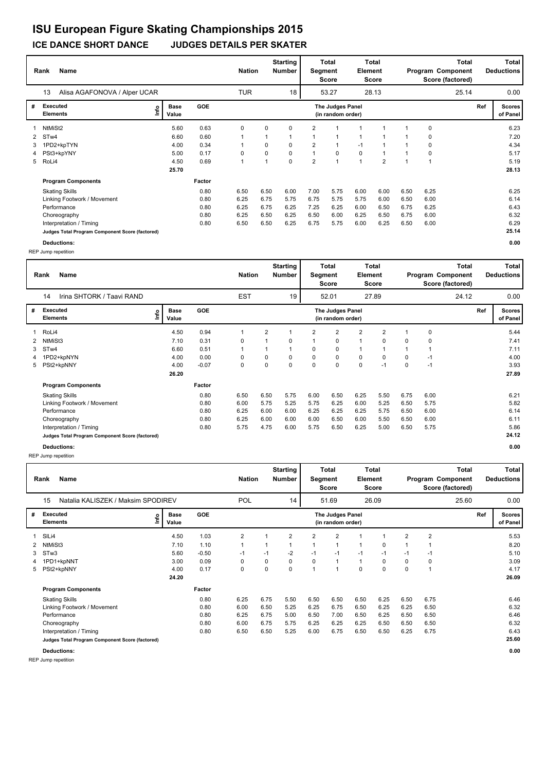#### **ICE DANCE SHORT DANCE JUDGES DETAILS PER SKATER**

|   | Name<br>Rank                                    |      |                      |            | <b>Nation</b> |      | <b>Starting</b><br><b>Number</b> | Segment        | <b>Total</b><br>Score                 | Element        | Total<br>Score |      |             | Total<br>Program Component<br>Score (factored) |     | Total<br><b>Deductions</b> |
|---|-------------------------------------------------|------|----------------------|------------|---------------|------|----------------------------------|----------------|---------------------------------------|----------------|----------------|------|-------------|------------------------------------------------|-----|----------------------------|
|   | Alisa AGAFONOVA / Alper UCAR<br>13              |      |                      |            | <b>TUR</b>    |      | 18                               |                | 53.27                                 |                | 28.13          |      |             | 25.14                                          |     | 0.00                       |
| # | <b>Executed</b><br><b>Elements</b>              | lnfo | <b>Base</b><br>Value | <b>GOE</b> |               |      |                                  |                | The Judges Panel<br>(in random order) |                |                |      |             |                                                | Ref | <b>Scores</b><br>of Panel  |
|   | NtMiSt2                                         |      | 5.60                 | 0.63       | 0             | 0    | $\Omega$                         | $\overline{2}$ |                                       |                |                |      | $\mathbf 0$ |                                                |     | 6.23                       |
|   | 2 STw4                                          |      | 6.60                 | 0.60       | 1             |      | 1                                | $\overline{1}$ |                                       |                |                |      | $\mathbf 0$ |                                                |     | 7.20                       |
| 3 | 1PD2+kpTYN                                      |      | 4.00                 | 0.34       |               | 0    | $\Omega$                         | $\overline{2}$ | 1                                     | $-1$           |                |      | $\mathbf 0$ |                                                |     | 4.34                       |
| 4 | PSt3+kpYNY                                      |      | 5.00                 | 0.17       | 0             | 0    | 0                                | $\mathbf{1}$   | 0                                     | 0              |                |      | 0           |                                                |     | 5.17                       |
|   | 5 RoLi4                                         |      | 4.50                 | 0.69       | 1             |      | 0                                | $\overline{2}$ | $\overline{1}$                        | $\overline{1}$ | $\overline{2}$ |      |             |                                                |     | 5.19                       |
|   |                                                 |      | 25.70                |            |               |      |                                  |                |                                       |                |                |      |             |                                                |     | 28.13                      |
|   | <b>Program Components</b>                       |      |                      | Factor     |               |      |                                  |                |                                       |                |                |      |             |                                                |     |                            |
|   | <b>Skating Skills</b>                           |      |                      | 0.80       | 6.50          | 6.50 | 6.00                             | 7.00           | 5.75                                  | 6.00           | 6.00           | 6.50 | 6.25        |                                                |     | 6.25                       |
|   | Linking Footwork / Movement                     |      |                      | 0.80       | 6.25          | 6.75 | 5.75                             | 6.75           | 5.75                                  | 5.75           | 6.00           | 6.50 | 6.00        |                                                |     | 6.14                       |
|   | Performance                                     |      |                      | 0.80       | 6.25          | 6.75 | 6.25                             | 7.25           | 6.25                                  | 6.00           | 6.50           | 6.75 | 6.25        |                                                |     | 6.43                       |
|   | Choreography                                    |      |                      | 0.80       | 6.25          | 6.50 | 6.25                             | 6.50           | 6.00                                  | 6.25           | 6.50           | 6.75 | 6.00        |                                                |     | 6.32                       |
|   | Interpretation / Timing                         |      |                      | 0.80       | 6.50          | 6.50 | 6.25                             | 6.75           | 5.75                                  | 6.00           | 6.25           | 6.50 | 6.00        |                                                |     | 6.29                       |
|   | Judges Total Program Component Score (factored) |      |                      |            |               |      |                                  |                |                                       |                |                |      |             |                                                |     | 25.14                      |

**Deductions: 0.00** REP Jump repetition

REP Jump repetition

|   | <b>Name</b><br>Rank                             |                      |            | <b>Nation</b>  |      | <b>Starting</b><br>Number | Segment        | Total<br><b>Score</b>                 | Element | <b>Total</b><br><b>Score</b> |                |                | <b>Total</b><br>Program Component<br>Score (factored) |     | <b>Total</b><br><b>Deductions</b> |
|---|-------------------------------------------------|----------------------|------------|----------------|------|---------------------------|----------------|---------------------------------------|---------|------------------------------|----------------|----------------|-------------------------------------------------------|-----|-----------------------------------|
|   | Natalia KALISZEK / Maksim SPODIREV<br>15        |                      |            | POL            |      | 14                        |                | 51.69                                 |         | 26.09                        |                |                | 25.60                                                 |     | 0.00                              |
| # | <b>Executed</b><br>١m<br><b>Elements</b>        | <b>Base</b><br>Value | <b>GOE</b> |                |      |                           |                | The Judges Panel<br>(in random order) |         |                              |                |                |                                                       | Ref | <b>Scores</b><br>of Panel         |
|   | SILi4                                           | 4.50                 | 1.03       | $\overline{2}$ |      | $\overline{2}$            | $\overline{2}$ | $\overline{2}$                        |         | 1                            | $\overline{2}$ | $\overline{2}$ |                                                       |     | 5.53                              |
|   | NtMiSt3                                         | 7.10                 | 1.10       | 1              |      | 1                         |                | 1                                     | 1       | $\Omega$                     |                |                |                                                       |     | 8.20                              |
| 3 | STw3                                            | 5.60                 | $-0.50$    | $-1$           | $-1$ | $-2$                      | $-1$           | $-1$                                  | $-1$    | $-1$                         | $-1$           | $-1$           |                                                       |     | 5.10                              |
| 4 | 1PD1+kpNNT                                      | 3.00                 | 0.09       | 0              | 0    | 0                         | 0              | $\mathbf{1}$                          | 1       | 0                            | $\Omega$       | 0              |                                                       |     | 3.09                              |
| 5 | PSt2+kpNNY                                      | 4.00                 | 0.17       | 0              | 0    | 0                         | $\overline{ }$ | $\mathbf{1}$                          | 0       | 0                            | 0              | 1              |                                                       |     | 4.17                              |
|   |                                                 | 24.20                |            |                |      |                           |                |                                       |         |                              |                |                |                                                       |     | 26.09                             |
|   | <b>Program Components</b>                       |                      | Factor     |                |      |                           |                |                                       |         |                              |                |                |                                                       |     |                                   |
|   | <b>Skating Skills</b>                           |                      | 0.80       | 6.25           | 6.75 | 5.50                      | 6.50           | 6.50                                  | 6.50    | 6.25                         | 6.50           | 6.75           |                                                       |     | 6.46                              |
|   | Linking Footwork / Movement                     |                      | 0.80       | 6.00           | 6.50 | 5.25                      | 6.25           | 6.75                                  | 6.50    | 6.25                         | 6.25           | 6.50           |                                                       |     | 6.32                              |
|   | Performance                                     |                      | 0.80       | 6.25           | 6.75 | 5.00                      | 6.50           | 7.00                                  | 6.50    | 6.25                         | 6.50           | 6.50           |                                                       |     | 6.46                              |
|   | Choreography                                    |                      | 0.80       | 6.00           | 6.75 | 5.75                      | 6.25           | 6.25                                  | 6.25    | 6.50                         | 6.50           | 6.50           |                                                       |     | 6.32                              |
|   | Interpretation / Timing                         |                      | 0.80       | 6.50           | 6.50 | 5.25                      | 6.00           | 6.75                                  | 6.50    | 6.50                         | 6.25           | 6.75           |                                                       |     | 6.43                              |
|   | Judges Total Program Component Score (factored) |                      |            |                |      |                           |                |                                       |         |                              |                |                |                                                       |     | 25.60                             |
|   | Deductions:                                     |                      |            |                |      |                           |                |                                       |         |                              |                |                |                                                       |     | 0.00                              |

**Rank Name Total Nation Deductions Program Component Total Segment Score Total Element Score Total Score (factored) Starting Number** Irina SHTORK / Taavi RAND **EST** 52.01 27.89 **# Executed Elements Base Value GOE Scores The Judges Panel of Panel** 1 4.50 0.94 1 2 1 2 2 2 2 1 0 **Ref**  5.44 14 **(in random order)** 24.12 1 RoLi4 **Info** 19 52.01 27.89 24.12 0.00 2 NtMiSt3 7.10 0.31 0 1 0 1 0 1 0 0 0 7.41 3 STw4 6.60 0.51 1 1 1 0 0 1 1 1 1 7.11 4 1PD2+kpNYN 4.00 0.00 0 0 0 0 0 0 0 0 -1 4.00 5 PSt2+kpNNY 4.00 -0.07 0 0 0 0 0 0 -1 0 -1 3.93  **26.20 Program Components**  Skating Skills 6.50 6.50 5.75 6.00 6.50 6.25 5.50 6.75 6.00 **Factor** 0.80 6.50 6.50 5.75 6.00 6.50 6.25 5.50 6.75 6.00 6.21 6.21  **27.89** Linking Footwork / Movement 10.80 6.00 5.75 5.25 5.75 6.25 6.00 5.25 6.50 5.75 5.82<br>Performance 10.80 6.25 6.00 6.00 6.25 6.25 6.25 5.75 6.50 6.00 6.14 Performance 0.80 6.25 6.00 6.00 6.25 6.25 6.25 5.75 6.50 6.00 6.14 Choreography 0.80 6.25 6.00 6.00 6.00 6.50 6.00 5.50 6.50 6.00 6.11 Interpretation / Timing 0.80 5.75 4.75 6.00 5.75 6.50 6.25 5.00 6.50 5.75 5.86 **Judges Total Program Component Score (factored) 24.12 Deductions: 0.00**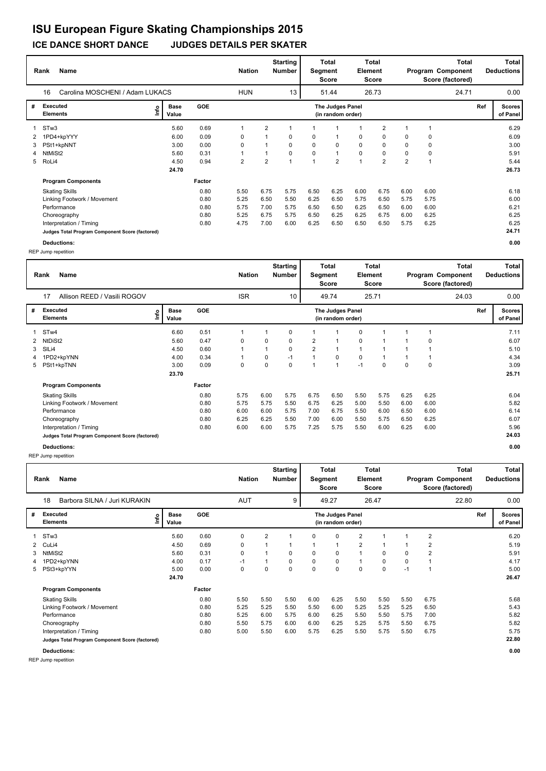#### **Rank Name Total Nation** Number | Segment Element Program Component Deductions **Total Segment Score Total Element Score Total Score (factored) Starting Number** Carolina MOSCHENI / Adam LUKACS HUN 13 51.44 26.73 **# Executed Elements Base Value GOE Scores The Judges Panel of Panel** 1 5.60 0.69 1 2 1 1 1 1 2 1 1 **Ref**  6.29 16 **(in random order)** 24.71 STw3 **Info** 13 | 51.44 26.73 24.71 0.00 2 1PD4+kpYYY 6.00 0.09 0 1 0 0 1 0 0 0 0 6.09 3 PSt1+kpNNT 3.00 0.00 0 1 0 0 0 0 0 0 0 3.00 4 NtMiSt2 5.60 0.31 1 1 0 0 1 0 0 0 0 5.91 5 RoLi4 4.50 0.94 2 2 1 1 2 1 2 2 1 5.44  **24.70 Program Components**  Skating Skills 0.80 5.50 6.75 5.75 6.50 6.25 6.00 6.75 6.00 6.00 **Factor** 0.80 6.18  **26.73** Linking Footwork / Movement 0.80 5.25 6.50 5.50 6.25 6.50 5.75 6.50 5.75 5.75 6.00 Performance 0.80 5.75 7.00 5.75 6.50 6.50 6.25 6.50 6.00 6.00 6.21 Choreography 0.80 5.25 6.75 5.75 6.50 6.25 6.25 6.75 6.00 6.25 6.25 Interpretation / Timing 10.25 6.25 6.25 6.25 6.25 6.25 6.25 6.26 6.50 6.50 6.50 6.50 6.25 6.25 6.25 6.25 6.25<br>- Judges Total Program Component Score (factored) **Judges Total Program Component Score (factored)**

REP Jump repetition

|   | <b>Name</b><br>Rank                             |                      |            | <b>Nation</b> |                | <b>Starting</b><br>Number | Segment | Total<br><b>Score</b>                 | <b>Element</b> | Total<br><b>Score</b> |      |                | <b>Total</b><br>Program Component<br>Score (factored) |     | Total<br><b>Deductions</b> |
|---|-------------------------------------------------|----------------------|------------|---------------|----------------|---------------------------|---------|---------------------------------------|----------------|-----------------------|------|----------------|-------------------------------------------------------|-----|----------------------------|
|   | Barbora SILNA / Juri KURAKIN<br>18              |                      |            | <b>AUT</b>    |                | 9                         |         | 49.27                                 |                | 26.47                 |      |                | 22.80                                                 |     | 0.00                       |
| # | <b>Executed</b><br>١m<br><b>Elements</b>        | <b>Base</b><br>Value | <b>GOE</b> |               |                |                           |         | The Judges Panel<br>(in random order) |                |                       |      |                |                                                       | Ref | <b>Scores</b><br>of Panel  |
| 1 | STw3                                            | 5.60                 | 0.60       | 0             | $\overline{2}$ | 1                         | 0       | 0                                     | $\overline{2}$ |                       |      | $\overline{2}$ |                                                       |     | 6.20                       |
| 2 | CuLi4                                           | 4.50                 | 0.69       | 0             | $\mathbf 1$    | 1                         | 1       | 1                                     | $\overline{2}$ |                       |      | 2              |                                                       |     | 5.19                       |
| 3 | NtMiSt2                                         | 5.60                 | 0.31       | 0             | $\mathbf 1$    | 0                         | 0       | 0                                     | 1              | 0                     | 0    | 2              |                                                       |     | 5.91                       |
| 4 | 1PD2+kpYNN                                      | 4.00                 | 0.17       | $-1$          | 1              | 0                         | 0       | 0                                     | 1              | $\Omega$              | 0    | 1              |                                                       |     | 4.17                       |
| 5 | PSt3+kpYYN                                      | 5.00                 | 0.00       | 0             | 0              | 0                         | 0       | 0                                     | 0              | 0                     | $-1$ | 1              |                                                       |     | 5.00                       |
|   |                                                 | 24.70                |            |               |                |                           |         |                                       |                |                       |      |                |                                                       |     | 26.47                      |
|   | <b>Program Components</b>                       |                      | Factor     |               |                |                           |         |                                       |                |                       |      |                |                                                       |     |                            |
|   | <b>Skating Skills</b>                           |                      | 0.80       | 5.50          | 5.50           | 5.50                      | 6.00    | 6.25                                  | 5.50           | 5.50                  | 5.50 | 6.75           |                                                       |     | 5.68                       |
|   | Linking Footwork / Movement                     |                      | 0.80       | 5.25          | 5.25           | 5.50                      | 5.50    | 6.00                                  | 5.25           | 5.25                  | 5.25 | 6.50           |                                                       |     | 5.43                       |
|   | Performance                                     |                      | 0.80       | 5.25          | 6.00           | 5.75                      | 6.00    | 6.25                                  | 5.50           | 5.50                  | 5.75 | 7.00           |                                                       |     | 5.82                       |
|   | Choreography                                    |                      | 0.80       | 5.50          | 5.75           | 6.00                      | 6.00    | 6.25                                  | 5.25           | 5.75                  | 5.50 | 6.75           |                                                       |     | 5.82                       |
|   | Interpretation / Timing                         |                      | 0.80       | 5.00          | 5.50           | 6.00                      | 5.75    | 6.25                                  | 5.50           | 5.75                  | 5.50 | 6.75           |                                                       |     | 5.75                       |
|   | Judges Total Program Component Score (factored) |                      |            |               |                |                           |         |                                       |                |                       |      |                |                                                       |     | 22.80                      |
|   | <b>Deductions:</b>                              |                      |            |               |                |                           |         |                                       |                |                       |      |                |                                                       |     | 0.00                       |

**Deductions: 0.00** REP Jump repetition

**Rank Name Total Nation Deductions Program Component Total Segment Score Total Element Score Total Score (factored) Starting Number** Allison REED / Vasili ROGOV **ISR** 10 | 49.74 25.71 **# Executed Elements Base Value GOE Scores The Judges Panel of Panel** 1 6.60 0.51 1 1 0 1 1 0 1 1 1 **Ref**  7.11 17 **(in random order)** 24.03 STw4 **Info** 10 | 49.74 25.71 24.03 0.00 2 NtDiSt2 5.60 0.47 0 0 0 2 1 0 1 1 0 6.07 3 SlLi4 4.50 0.60 1 1 0 2 1 1 1 1 1 5.10 4 1PD2+kpYNN 4.00 0.34 1 0 -1 1 0 0 1 1 1 4.34 5 PSt1+kpTNN 3.00 0.09 0 0 0 1 1 -1 0 0 0 3.09  **23.70 Program Components**  Skating Skills 0.80 5.75 6.00 5.75 6.75 6.50 5.50 5.75 6.25 6.25 **Factor** 0.80 6.04  **25.71** Linking Footwork / Movement 10.80 5.75 5.75 5.75 5.50 6.75 5.75 5.50 6.00 6.00 6.00 5.82<br>1.14 Performance 10.80 6.00 6.00 5.75 7.00 6.75 5.50 6.00 6.50 6.00 6.74 Performance 0.80 6.00 6.00 5.75 7.00 6.75 5.50 6.00 6.50 6.00 6.14 Choreography 0.80 6.25 6.25 5.50 7.00 6.00 5.50 5.75 6.50 6.25 6.07 Interpretation / Timing 0.80 6.00 6.00 5.75 7.25 5.75 5.50 6.00 6.25 6.00 5.96 **Judges Total Program Component Score (factored) 24.03 Deductions: 0.00**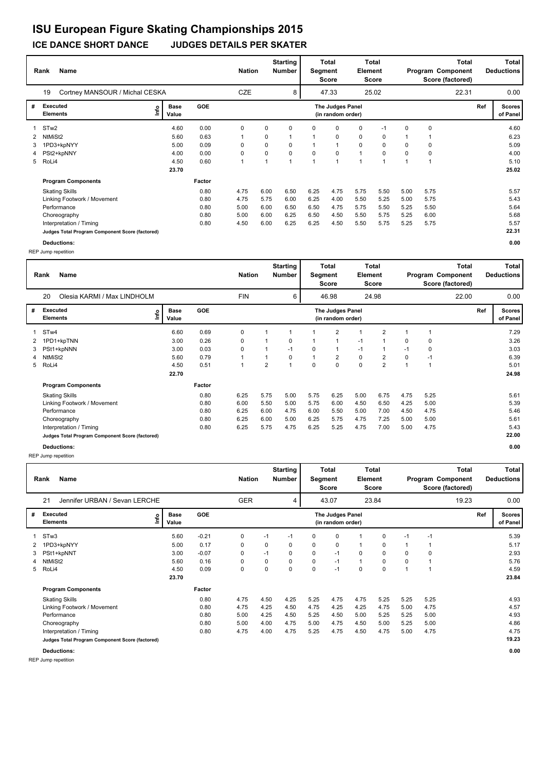#### **ICE DANCE SHORT DANCE JUDGES DETAILS PER SKATER**

|   | Name<br>Rank                                    |                              |        | <b>Nation</b> |      | <b>Starting</b><br><b>Number</b> | Segment | <b>Total</b><br>Score                 | Element     | Total<br><b>Score</b> |          |             | <b>Total</b><br>Program Component<br>Score (factored) |     | Total<br><b>Deductions</b> |
|---|-------------------------------------------------|------------------------------|--------|---------------|------|----------------------------------|---------|---------------------------------------|-------------|-----------------------|----------|-------------|-------------------------------------------------------|-----|----------------------------|
|   | 19<br>Cortney MANSOUR / Michal CESKA            |                              |        | CZE           |      | 8                                |         | 47.33                                 |             | 25.02                 |          |             | 22.31                                                 |     | 0.00                       |
| # | Executed<br><b>Elements</b>                     | <b>Base</b><br>١nf٥<br>Value | GOE    |               |      |                                  |         | The Judges Panel<br>(in random order) |             |                       |          |             |                                                       | Ref | <b>Scores</b><br>of Panel  |
|   | ST <sub>w</sub> 2                               | 4.60                         | 0.00   | 0             | 0    | 0                                | 0       | 0                                     | 0           | $-1$                  | 0        | $\mathbf 0$ |                                                       |     | 4.60                       |
| 2 | NtMiSt2                                         | 5.60                         | 0.63   |               | 0    | $\overline{\mathbf{A}}$          |         | $\mathbf 0$                           | $\mathbf 0$ | $\Omega$              |          |             |                                                       |     | 6.23                       |
| 3 | 1PD3+kpNYY                                      | 5.00                         | 0.09   | 0             | 0    | $\Omega$                         |         |                                       | $\mathbf 0$ | 0                     | $\Omega$ | 0           |                                                       |     | 5.09                       |
| 4 | PSt2+kpNNY                                      | 4.00                         | 0.00   | 0             | 0    | 0                                | 0       | 0                                     | 1           | 0                     | 0        | $\mathbf 0$ |                                                       |     | 4.00                       |
|   | 5 RoLi4                                         | 4.50                         | 0.60   |               |      | $\overline{\mathbf{A}}$          |         |                                       | и           | $\overline{ }$        |          | -1          |                                                       |     | 5.10                       |
|   |                                                 | 23.70                        |        |               |      |                                  |         |                                       |             |                       |          |             |                                                       |     | 25.02                      |
|   | <b>Program Components</b>                       |                              | Factor |               |      |                                  |         |                                       |             |                       |          |             |                                                       |     |                            |
|   | <b>Skating Skills</b>                           |                              | 0.80   | 4.75          | 6.00 | 6.50                             | 6.25    | 4.75                                  | 5.75        | 5.50                  | 5.00     | 5.75        |                                                       |     | 5.57                       |
|   | Linking Footwork / Movement                     |                              | 0.80   | 4.75          | 5.75 | 6.00                             | 6.25    | 4.00                                  | 5.50        | 5.25                  | 5.00     | 5.75        |                                                       |     | 5.43                       |
|   | Performance                                     |                              | 0.80   | 5.00          | 6.00 | 6.50                             | 6.50    | 4.75                                  | 5.75        | 5.50                  | 5.25     | 5.50        |                                                       |     | 5.64                       |
|   | Choreography                                    |                              | 0.80   | 5.00          | 6.00 | 6.25                             | 6.50    | 4.50                                  | 5.50        | 5.75                  | 5.25     | 6.00        |                                                       |     | 5.68                       |
|   | Interpretation / Timing                         |                              | 0.80   | 4.50          | 6.00 | 6.25                             | 6.25    | 4.50                                  | 5.50        | 5.75                  | 5.25     | 5.75        |                                                       |     | 5.57                       |
|   | Judges Total Program Component Score (factored) |                              |        |               |      |                                  |         |                                       |             |                       |          |             |                                                       |     | 22.31                      |

**Deductions: 0.00** REP Jump repetition

REP Jump repetition

|              | Name<br>Rank                                    |               |            | <b>Nation</b> |      | <b>Starting</b><br>Number | Segment | Total<br><b>Score</b>                 | Element | Total<br><b>Score</b> |      |      | <b>Total</b><br>Program Component<br>Score (factored) |     | Total<br><b>Deductions</b> |
|--------------|-------------------------------------------------|---------------|------------|---------------|------|---------------------------|---------|---------------------------------------|---------|-----------------------|------|------|-------------------------------------------------------|-----|----------------------------|
|              | Jennifer URBAN / Sevan LERCHE<br>21             |               |            | <b>GER</b>    |      | 4                         |         | 43.07                                 |         | 23.84                 |      |      | 19.23                                                 |     | 0.00                       |
| #            | <b>Executed</b><br>١m<br><b>Elements</b>        | Base<br>Value | <b>GOE</b> |               |      |                           |         | The Judges Panel<br>(in random order) |         |                       |      |      |                                                       | Ref | <b>Scores</b><br>of Panel  |
| $\mathbf{1}$ | STw3                                            | 5.60          | $-0.21$    | 0             | $-1$ | $-1$                      | 0       | 0                                     |         | 0                     | $-1$ | $-1$ |                                                       |     | 5.39                       |
| 2            | 1PD3+kpNYY                                      | 5.00          | 0.17       | 0             | 0    | 0                         | 0       | 0                                     |         | 0                     |      |      |                                                       |     | 5.17                       |
| 3            | PSt1+kpNNT                                      | 3.00          | $-0.07$    | 0             | $-1$ | 0                         | 0       | $-1$                                  | 0       | 0                     | 0    | 0    |                                                       |     | 2.93                       |
|              | NtMiSt2                                         | 5.60          | 0.16       | 0             | 0    | 0                         | 0       | $-1$                                  | 1       | 0                     | 0    |      |                                                       |     | 5.76                       |
| 5            | RoLi4                                           | 4.50          | 0.09       | 0             | 0    | 0                         | 0       | $-1$                                  | 0       | 0                     |      |      |                                                       |     | 4.59                       |
|              |                                                 | 23.70         |            |               |      |                           |         |                                       |         |                       |      |      |                                                       |     | 23.84                      |
|              | <b>Program Components</b>                       |               | Factor     |               |      |                           |         |                                       |         |                       |      |      |                                                       |     |                            |
|              | <b>Skating Skills</b>                           |               | 0.80       | 4.75          | 4.50 | 4.25                      | 5.25    | 4.75                                  | 4.75    | 5.25                  | 5.25 | 5.25 |                                                       |     | 4.93                       |
|              | Linking Footwork / Movement                     |               | 0.80       | 4.75          | 4.25 | 4.50                      | 4.75    | 4.25                                  | 4.25    | 4.75                  | 5.00 | 4.75 |                                                       |     | 4.57                       |
|              | Performance                                     |               | 0.80       | 5.00          | 4.25 | 4.50                      | 5.25    | 4.50                                  | 5.00    | 5.25                  | 5.25 | 5.00 |                                                       |     | 4.93                       |
|              | Choreography                                    |               | 0.80       | 5.00          | 4.00 | 4.75                      | 5.00    | 4.75                                  | 4.50    | 5.00                  | 5.25 | 5.00 |                                                       |     | 4.86                       |
|              | Interpretation / Timing                         |               | 0.80       | 4.75          | 4.00 | 4.75                      | 5.25    | 4.75                                  | 4.50    | 4.75                  | 5.00 | 4.75 |                                                       |     | 4.75                       |
|              | Judges Total Program Component Score (factored) |               |            |               |      |                           |         |                                       |         |                       |      |      |                                                       |     | 19.23                      |
|              | Deductions:                                     |               |            |               |      |                           |         |                                       |         |                       |      |      |                                                       |     | 0.00                       |

**Rank Name Total Nation Deductions Program Component Total Segment Score Total Element Score Total Score (factored) Starting Number** Olesia KARMI / Max LINDHOLM FIN 6 46.98 24.98 **# Executed Elements Base Value GOE Scores The Judges Panel of Panel** 1 6.60 0.69 0 1 1 1 2 1 2 1 1 **Ref**  7.29 20 **(in random order)** 22.00 STw4 **Info** 6 46.98 24.98 22.00 0.00 2 1PD1+kpTNN 3.00 0.26 0 1 0 1 1 -1 1 0 0 3.26 3 PSt1+kpNNN 3.00 0.03 0 1 -1 0 1 -1 1 -1 0 3.03 4 NtMiSt2 5.60 0.79 1 1 0 1 2 0 2 0 -1 6.39 5 RoLi4 4.50 0.51 1 2 1 0 0 0 2 1 1 5.01  **22.70 Program Components**  Skating Skills 6.25 5.75 5.00 5.75 6.25 5.00 6.75 4.75 5.25 **Factor** 0.80 6.25 5.75 5.00 5.75 6.25 5.00 6.75 4.75 5.25 6.25 5.61  **24.98** Linking Footwork / Movement 0.80 6.00 5.50 5.00 5.75 6.00 4.50 6.50 4.25 5.00 5.39<br>1.460 Performance 1.460 5.46 6.46 6.25 6.00 4.75 6.00 5.50 5.00 7.00 4.50 4.75 Performance 0.80 6.25 6.00 4.75 6.00 5.50 5.00 7.00 4.50 4.75 5.46 Choreography 0.80 6.25 6.00 5.00 6.25 5.75 4.75 7.25 5.00 5.00 5.61 Interpretation / Timing 0.80 6.25 5.75 4.75 6.25 5.25 4.75 7.00 5.00 4.75 5.43 **Judges Total Program Component Score (factored) 22.00 Deductions: 0.00**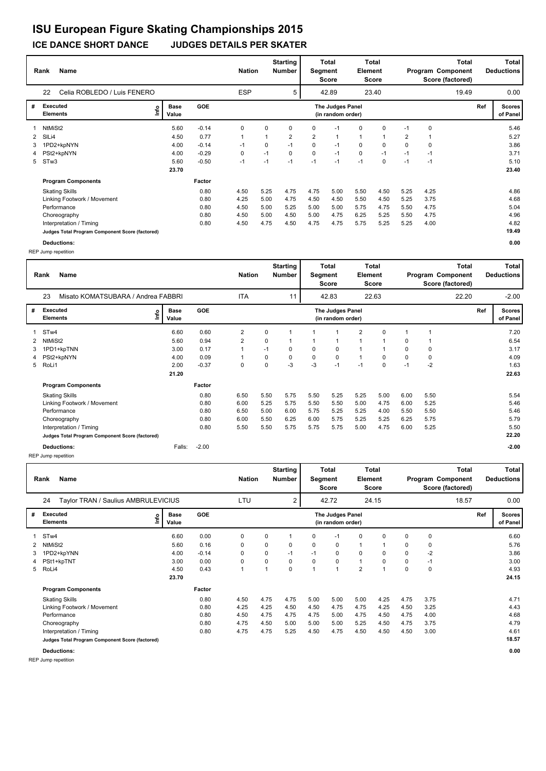#### **Rank Name Total Nation** Number | Segment Element Program Component Deductions **Total Segment Score Total Element Score Total Score (factored) Starting Number** Celia ROBLEDO / Luis FENERO **ESP** 5 42.89 23.40 **# Executed Elements Base Value GOE Scores The Judges Panel of Panel** 1 5.60 -0.14 0 0 0 0 -1 0 0 -1 0 **Ref**  5.46 22 **(in random order)** 19.49 NtMiSt2 **Info** 5 42.89 23.40 19.49 0.00 2 SlLi4 4.50 0.77 1 1 2 2 1 1 1 2 1 5.27 3 1PD2+kpNYN 4.00 -0.14 -1 0 -1 0 -1 0 0 0 0 3.86 4 PSt2+kpNYN 4.00 -0.29 0 -1 0 0 -1 0 -1 -1 -1 3.71 5 STw3 5.60 -0.50 -1 -1 -1 -1 -1 -1 0 -1 -1 5.10  **23.70 Program Components**  Skating Skills 4.50 5.25 4.75 4.75 5.00 5.50 4.50 5.25 4.25 **Factor** 0.80 4.50 5.25 4.75 4.75 5.00 5.50 4.50 5.25 4.25 4.86  **23.40** Linking Footwork / Movement 0.80 4.25 5.00 4.75 4.50 4.50 5.50 4.50 5.25 3.75 4.68 Performance 0.80 4.50 5.00 5.25 5.00 5.00 5.75 4.75 5.50 4.75 5.04 Choreography 0.80 4.50 5.00 4.50 5.00 4.75 6.25 5.25 5.50 4.75 4.96 Interpretation / Timing 10.80 6.80 6.80 6.80 4.50 4.75 4.50 4.75 4.75 5.75 5.25 5.25 4.00 4.82<br>19.49 Judges Total Program Component Score (factored) **Judges Total Program Component Score (factored) 19.49**

**Rank Name Total Nation Deductions Program Component Total Segment Score Total Element Score Total Score (factored) Starting Number** Misato KOMATSUBARA / Andrea FABBRI ITA 42.83 22.63 **# Executed Elements Base Value GOE Scores The Judges Panel of Panel** 1 6.60 0.60 2 0 1 1 1 2 0 1 1 **Ref**  7.20 23 **(in random order)** 22.20 STw4 **Info** 11 42.83 22.63 22.20 -2.00 2 NtMiSt2 5.60 0.94 2 0 1 1 1 1 1 0 1 6.54 3 1PD1+kpTNN 3.00 0.17 1 -1 0 0 0 1 1 0 0 3.17 4 PSt2+kpNYN 4.00 0.09 1 0 0 0 0 1 0 0 0 4.09 5 RoLi1 2.00 -0.37 0 0 -3 -3 -1 -1 0 -1 -2 1.63  **21.20 Program Components**  Skating Skills 6.50 5.50 5.75 5.50 5.25 5.25 5.00 6.00 5.50 **Factor** 0.80 6.50 5.50 5.75 5.50 5.25 5.25 5.00 6.00 5.50 5.54 5.54  **22.63** Linking Footwork / Movement 10.80 6.00 6.25 5.75 5.75 5.50 5.50 5.00 5.25 5.50 5.25<br>1.80 6.50 5.50 5.50 5.46 5.60 5.50 5.50 5.46 5.46 Performance 0.80 6.50 5.00 6.00 5.75 5.25 5.25 4.00 5.50 5.50 5.46 Choreography 0.80 6.00 5.50 6.25 6.00 5.75 5.25 5.25 6.25 5.75 5.79 Interpretation / Timing 0.80 5.50 5.50 5.75 5.75 5.75 5.00 4.75 6.00 5.25 5.50 **Judges Total Program Component Score (factored) 22.20 Deductions:** Falls: -2.00 **-2.00** REP Jump repetition

| <b>Name</b><br>Rank                       |                                                 |                      |            |      | <b>Starting</b><br><b>Nation</b><br><b>Number</b> |          | <b>Total</b><br>Segment<br><b>Score</b> |                                       | Element        | <b>Total</b><br><b>Score</b> |      |             | Total<br>Program Component<br>Score (factored) |     | <b>Total</b><br><b>Deductions</b> |  |
|-------------------------------------------|-------------------------------------------------|----------------------|------------|------|---------------------------------------------------|----------|-----------------------------------------|---------------------------------------|----------------|------------------------------|------|-------------|------------------------------------------------|-----|-----------------------------------|--|
| 24<br>Taylor TRAN / Saulius AMBRULEVICIUS |                                                 |                      |            |      |                                                   | 2        |                                         | 42.72                                 |                | 24.15                        |      |             | 18.57                                          |     | 0.00                              |  |
| #                                         | <b>Executed</b><br>١m<br><b>Elements</b>        | <b>Base</b><br>Value | <b>GOE</b> |      |                                                   |          |                                         | The Judges Panel<br>(in random order) |                |                              |      |             |                                                | Ref | <b>Scores</b><br>of Panel         |  |
|                                           | ST <sub>w</sub> 4                               | 6.60                 | 0.00       | 0    | 0                                                 |          | 0                                       | $-1$                                  | 0              | 0                            | 0    | $\mathbf 0$ |                                                |     | 6.60                              |  |
| 2                                         | NtMiSt2                                         | 5.60                 | 0.16       | 0    | 0                                                 | $\Omega$ | 0                                       | 0                                     | $\mathbf{1}$   |                              | 0    | 0           |                                                |     | 5.76                              |  |
| 3                                         | 1PD2+kpYNN                                      | 4.00                 | $-0.14$    | 0    | 0                                                 | $-1$     | $-1$                                    | 0                                     | 0              | 0                            | 0    | $-2$        |                                                |     | 3.86                              |  |
|                                           | PSt1+kpTNT                                      | 3.00                 | 0.00       | 0    | 0                                                 | $\Omega$ | $\Omega$                                | $\mathbf 0$                           | $\mathbf{1}$   | $\Omega$                     | 0    | $-1$        |                                                |     | 3.00                              |  |
| 5                                         | RoLi4                                           | 4.50                 | 0.43       | 1    |                                                   | $\Omega$ |                                         | $\overline{1}$                        | $\overline{2}$ |                              | 0    | $\mathbf 0$ |                                                |     | 4.93                              |  |
|                                           |                                                 | 23.70                |            |      |                                                   |          |                                         |                                       |                |                              |      |             |                                                |     | 24.15                             |  |
|                                           | <b>Program Components</b>                       |                      | Factor     |      |                                                   |          |                                         |                                       |                |                              |      |             |                                                |     |                                   |  |
|                                           | <b>Skating Skills</b>                           |                      | 0.80       | 4.50 | 4.75                                              | 4.75     | 5.00                                    | 5.00                                  | 5.00           | 4.25                         | 4.75 | 3.75        |                                                |     | 4.71                              |  |
|                                           | Linking Footwork / Movement                     |                      | 0.80       | 4.25 | 4.25                                              | 4.50     | 4.50                                    | 4.75                                  | 4.75           | 4.25                         | 4.50 | 3.25        |                                                |     | 4.43                              |  |
|                                           | Performance                                     |                      | 0.80       | 4.50 | 4.75                                              | 4.75     | 4.75                                    | 5.00                                  | 4.75           | 4.50                         | 4.75 | 4.00        |                                                |     | 4.68                              |  |
|                                           | Choreography                                    |                      | 0.80       | 4.75 | 4.50                                              | 5.00     | 5.00                                    | 5.00                                  | 5.25           | 4.50                         | 4.75 | 3.75        |                                                |     | 4.79                              |  |
|                                           | Interpretation / Timing                         |                      | 0.80       | 4.75 | 4.75                                              | 5.25     | 4.50                                    | 4.75                                  | 4.50           | 4.50                         | 4.50 | 3.00        |                                                |     | 4.61                              |  |
|                                           | Judges Total Program Component Score (factored) |                      |            |      |                                                   |          |                                         |                                       |                |                              |      |             |                                                |     | 18.57                             |  |

**Deductions: 0.00**

**Deductions: 0.00** REP Jump repetition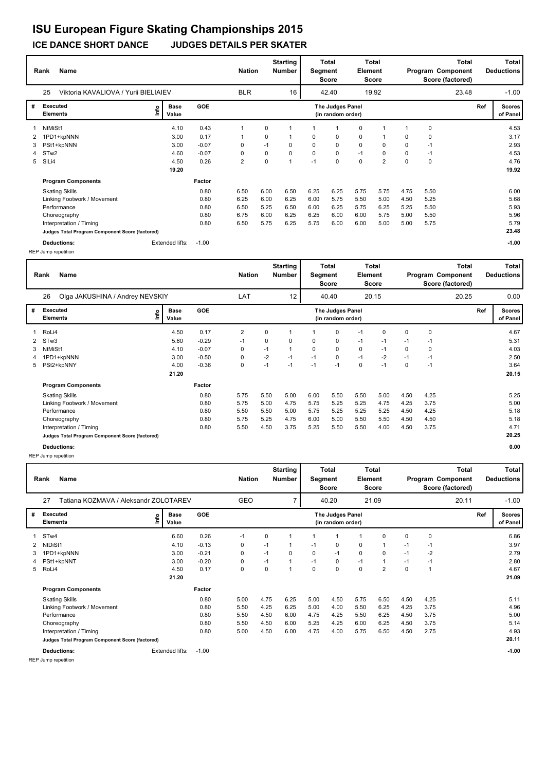|                | <b>Name</b><br>Rank                             |      |                      |            |                |                  | <b>Starting</b><br>Number | Total<br>Segment<br>Score |                                       | Total<br>Element<br><b>Score</b> |       | Program Component<br>Score (factored) |      | <b>Total</b> |     | Total<br><b>Deductions</b> |
|----------------|-------------------------------------------------|------|----------------------|------------|----------------|------------------|---------------------------|---------------------------|---------------------------------------|----------------------------------|-------|---------------------------------------|------|--------------|-----|----------------------------|
|                | 25<br>Viktoria KAVALIOVA / Yurii BIELIAIEV      |      |                      |            |                | <b>BLR</b><br>16 |                           |                           | 42.40                                 |                                  | 19.92 |                                       |      | 23.48        |     | $-1.00$                    |
| #              | <b>Executed</b><br><b>Elements</b>              | lnfo | <b>Base</b><br>Value | <b>GOE</b> |                |                  |                           |                           | The Judges Panel<br>(in random order) |                                  |       |                                       |      |              | Ref | <b>Scores</b><br>of Panel  |
|                | NtMiSt1                                         |      | 4.10                 | 0.43       |                | 0                |                           |                           |                                       | 0                                | 1     |                                       | 0    |              |     | 4.53                       |
| 2              | 1PD1+kpNNN                                      |      | 3.00                 | 0.17       |                | 0                |                           | $\mathbf 0$               | 0                                     | 0                                |       | 0                                     | 0    |              |     | 3.17                       |
| 3              | PSt1+kpNNN                                      |      | 3.00                 | $-0.07$    | 0              | $-1$             | 0                         | 0                         | 0                                     | $\mathbf 0$                      | 0     | 0                                     | $-1$ |              |     | 2.93                       |
| $\overline{4}$ | STw <sub>2</sub>                                |      | 4.60                 | $-0.07$    | 0              | 0                | $\mathbf 0$               | $\mathbf 0$               | $\mathbf 0$                           | $-1$                             | 0     | 0                                     | $-1$ |              |     | 4.53                       |
| 5              | SILi4                                           |      | 4.50                 | 0.26       | $\overline{2}$ | 0                | $\overline{1}$            | $-1$                      | $\mathbf 0$                           | $\pmb{0}$                        | 2     | 0                                     | 0    |              |     | 4.76                       |
|                |                                                 |      | 19.20                |            |                |                  |                           |                           |                                       |                                  |       |                                       |      |              |     | 19.92                      |
|                | <b>Program Components</b>                       |      |                      | Factor     |                |                  |                           |                           |                                       |                                  |       |                                       |      |              |     |                            |
|                | <b>Skating Skills</b>                           |      |                      | 0.80       | 6.50           | 6.00             | 6.50                      | 6.25                      | 6.25                                  | 5.75                             | 5.75  | 4.75                                  | 5.50 |              |     | 6.00                       |
|                | Linking Footwork / Movement                     |      |                      | 0.80       | 6.25           | 6.00             | 6.25                      | 6.00                      | 5.75                                  | 5.50                             | 5.00  | 4.50                                  | 5.25 |              |     | 5.68                       |
|                | Performance                                     |      |                      | 0.80       | 6.50           | 5.25             | 6.50                      | 6.00                      | 6.25                                  | 5.75                             | 6.25  | 5.25                                  | 5.50 |              |     | 5.93                       |
|                | Choreography                                    |      |                      | 0.80       | 6.75           | 6.00             | 6.25                      | 6.25                      | 6.00                                  | 6.00                             | 5.75  | 5.00                                  | 5.50 |              |     | 5.96                       |
|                | Interpretation / Timing                         |      |                      | 0.80       | 6.50           | 5.75             | 6.25                      | 5.75                      | 6.00                                  | 6.00                             | 5.00  | 5.00                                  | 5.75 |              |     | 5.79                       |
|                | Judges Total Program Component Score (factored) |      |                      |            |                |                  |                           |                           |                                       |                                  |       |                                       |      |              |     | 23.48                      |
|                | Deductions:                                     |      | Extended lifts:      | $-1.00$    |                |                  |                           |                           |                                       |                                  |       |                                       |      |              |     | $-1.00$                    |

REP Jump repetition

| Rank         |                                       | <b>Name</b>                                     |      |                      |            |      | <b>Nation</b> | <b>Starting</b><br><b>Number</b> | Total<br>Segment<br>Score |                                       | <b>Total</b><br><b>Element</b><br><b>Score</b> |      | Total<br>Program Component<br>Score (factored) |       |  | <b>Total</b><br><b>Deductions</b> |                           |
|--------------|---------------------------------------|-------------------------------------------------|------|----------------------|------------|------|---------------|----------------------------------|---------------------------|---------------------------------------|------------------------------------------------|------|------------------------------------------------|-------|--|-----------------------------------|---------------------------|
|              | Olga JAKUSHINA / Andrey NEVSKIY<br>26 |                                                 |      |                      | LAT        |      | 12            |                                  | 40.40                     | 20.15                                 |                                                |      |                                                | 20.25 |  | 0.00                              |                           |
| #            | Executed<br><b>Elements</b>           |                                                 | Life | <b>Base</b><br>Value | <b>GOE</b> |      |               |                                  |                           | The Judges Panel<br>(in random order) |                                                |      |                                                |       |  | Ref                               | <b>Scores</b><br>of Panel |
| $\mathbf{1}$ | RoLi4                                 |                                                 |      | 4.50                 | 0.17       | 2    | 0             |                                  |                           | 0                                     | $-1$                                           | 0    | 0                                              | 0     |  |                                   | 4.67                      |
|              | 2 STw3                                |                                                 |      | 5.60                 | $-0.29$    | $-1$ | 0             | 0                                | 0                         | 0                                     | $-1$                                           | $-1$ | $-1$                                           | $-1$  |  |                                   | 5.31                      |
| 3            | NtMiSt1                               |                                                 |      | 4.10                 | $-0.07$    | 0    | $-1$          |                                  | 0                         | 0                                     | 0                                              | $-1$ | 0                                              | 0     |  |                                   | 4.03                      |
| 4            |                                       | 1PD1+kpNNN                                      |      | 3.00                 | $-0.50$    | 0    | $-2$          | $-1$                             | $-1$                      | 0                                     | $-1$                                           | $-2$ | $-1$                                           | $-1$  |  |                                   | 2.50                      |
|              |                                       | 5 PSt2+kpNNY                                    |      | 4.00                 | $-0.36$    | 0    | $-1$          | $-1$                             | $-1$                      | $-1$                                  | 0                                              | $-1$ | 0                                              | $-1$  |  |                                   | 3.64                      |
|              |                                       |                                                 |      | 21.20                |            |      |               |                                  |                           |                                       |                                                |      |                                                |       |  |                                   | 20.15                     |
|              |                                       | <b>Program Components</b>                       |      |                      | Factor     |      |               |                                  |                           |                                       |                                                |      |                                                |       |  |                                   |                           |
|              |                                       | <b>Skating Skills</b>                           |      |                      | 0.80       | 5.75 | 5.50          | 5.00                             | 6.00                      | 5.50                                  | 5.50                                           | 5.00 | 4.50                                           | 4.25  |  |                                   | 5.25                      |
|              |                                       | Linking Footwork / Movement                     |      |                      | 0.80       | 5.75 | 5.00          | 4.75                             | 5.75                      | 5.25                                  | 5.25                                           | 4.75 | 4.25                                           | 3.75  |  |                                   | 5.00                      |
|              |                                       | Performance                                     |      |                      | 0.80       | 5.50 | 5.50          | 5.00                             | 5.75                      | 5.25                                  | 5.25                                           | 5.25 | 4.50                                           | 4.25  |  |                                   | 5.18                      |
|              |                                       | Choreography                                    |      |                      | 0.80       | 5.75 | 5.25          | 4.75                             | 6.00                      | 5.00                                  | 5.50                                           | 5.50 | 4.50                                           | 4.50  |  |                                   | 5.18                      |
|              |                                       | Interpretation / Timing                         |      |                      | 0.80       | 5.50 | 4.50          | 3.75                             | 5.25                      | 5.50                                  | 5.50                                           | 4.00 | 4.50                                           | 3.75  |  |                                   | 4.71                      |
|              |                                       | Judges Total Program Component Score (factored) |      |                      |            |      |               |                                  |                           |                                       |                                                |      |                                                |       |  |                                   | 20.25                     |
|              |                                       | Deductions:                                     |      |                      |            |      |               |                                  |                           |                                       |                                                |      |                                                |       |  |                                   | 0.00                      |

REP Jump repetition

|   | Name<br>Rank                                    |    |                      |            |            |                | <b>Starting</b><br><b>Nation</b><br><b>Number</b> |          |                                       | <b>Total</b><br>Total<br><b>Element</b><br>Segment<br>Score<br>Score |                | <b>Total</b><br>Program Component<br>Score (factored) |      |         |     | Total<br><b>Deductions</b> |
|---|-------------------------------------------------|----|----------------------|------------|------------|----------------|---------------------------------------------------|----------|---------------------------------------|----------------------------------------------------------------------|----------------|-------------------------------------------------------|------|---------|-----|----------------------------|
|   | Tatiana KOZMAVA / Aleksandr ZOLOTAREV<br>27     |    |                      |            | <b>GEO</b> | 40.20<br>21.09 |                                                   |          |                                       |                                                                      |                | 20.11                                                 |      | $-1.00$ |     |                            |
| # | <b>Executed</b><br><b>Elements</b>              | ١m | <b>Base</b><br>Value | <b>GOE</b> |            |                |                                                   |          | The Judges Panel<br>(in random order) |                                                                      |                |                                                       |      |         | Ref | <b>Scores</b><br>of Panel  |
|   | STw4                                            |    | 6.60                 | 0.26       | $-1$       | 0              |                                                   |          | 1                                     |                                                                      | 0              | 0                                                     | 0    |         |     | 6.86                       |
| 2 | NtDiSt1                                         |    | 4.10                 | $-0.13$    | 0          | $-1$           | 1                                                 | $-1$     | 0                                     | 0                                                                    | $\mathbf 1$    | $-1$                                                  | $-1$ |         |     | 3.97                       |
| 3 | 1PD1+kpNNN                                      |    | 3.00                 | $-0.21$    | 0          | $-1$           | 0                                                 | $\Omega$ | $-1$                                  | $\mathbf 0$                                                          | 0              | $-1$                                                  | $-2$ |         |     | 2.79                       |
| 4 | PSt1+kpNNT                                      |    | 3.00                 | $-0.20$    | 0          | $-1$           |                                                   | $-1$     | 0                                     | $-1$                                                                 | $\overline{1}$ | $-1$                                                  | $-1$ |         |     | 2.80                       |
| 5 | RoLi4                                           |    | 4.50                 | 0.17       | 0          | 0              | 1                                                 | $\Omega$ | 0                                     | $\mathbf 0$                                                          | $\overline{2}$ | $\Omega$                                              | 1    |         |     | 4.67                       |
|   |                                                 |    | 21.20                |            |            |                |                                                   |          |                                       |                                                                      |                |                                                       |      |         |     | 21.09                      |
|   | <b>Program Components</b>                       |    |                      | Factor     |            |                |                                                   |          |                                       |                                                                      |                |                                                       |      |         |     |                            |
|   | <b>Skating Skills</b>                           |    |                      | 0.80       | 5.00       | 4.75           | 6.25                                              | 5.00     | 4.50                                  | 5.75                                                                 | 6.50           | 4.50                                                  | 4.25 |         |     | 5.11                       |
|   | Linking Footwork / Movement                     |    |                      | 0.80       | 5.50       | 4.25           | 6.25                                              | 5.00     | 4.00                                  | 5.50                                                                 | 6.25           | 4.25                                                  | 3.75 |         |     | 4.96                       |
|   | Performance                                     |    |                      | 0.80       | 5.50       | 4.50           | 6.00                                              | 4.75     | 4.25                                  | 5.50                                                                 | 6.25           | 4.50                                                  | 3.75 |         |     | 5.00                       |
|   | Choreography                                    |    |                      | 0.80       | 5.50       | 4.50           | 6.00                                              | 5.25     | 4.25                                  | 6.00                                                                 | 6.25           | 4.50                                                  | 3.75 |         |     | 5.14                       |
|   | Interpretation / Timing                         |    |                      | 0.80       | 5.00       | 4.50           | 6.00                                              | 4.75     | 4.00                                  | 5.75                                                                 | 6.50           | 4.50                                                  | 2.75 |         |     | 4.93                       |
|   | Judges Total Program Component Score (factored) |    |                      |            |            |                |                                                   |          |                                       |                                                                      |                |                                                       |      |         |     | 20.11                      |
|   | <b>Deductions:</b>                              |    | Extended lifts:      | $-1.00$    |            |                |                                                   |          |                                       |                                                                      |                |                                                       |      |         |     | $-1.00$                    |